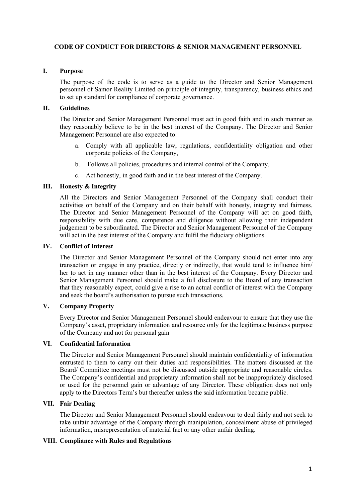## **CODE OF CONDUCT FOR DIRECTORS & SENIOR MANAGEMENT PERSONNEL**

#### **I. Purpose**

The purpose of the code is to serve as a guide to the Director and Senior Management personnel of Samor Reality Limited on principle of integrity, transparency, business ethics and to set up standard for compliance of corporate governance.

# **II. Guidelines**

The Director and Senior Management Personnel must act in good faith and in such manner as they reasonably believe to be in the best interest of the Company. The Director and Senior Management Personnel are also expected to:

- a. Comply with all applicable law, regulations, confidentiality obligation and other corporate policies of the Company,
- b. Follows all policies, procedures and internal control of the Company,
- c. Act honestly, in good faith and in the best interest of the Company.

# **III. Honesty & Integrity**

All the Directors and Senior Management Personnel of the Company shall conduct their activities on behalf of the Company and on their behalf with honesty, integrity and fairness. The Director and Senior Management Personnel of the Company will act on good faith, responsibility with due care, competence and diligence without allowing their independent judgement to be subordinated. The Director and Senior Management Personnel of the Company will act in the best interest of the Company and fulfil the fiduciary obligations.

#### **IV. Conflict of Interest**

The Director and Senior Management Personnel of the Company should not enter into any transaction or engage in any practice, directly or indirectly, that would tend to influence him/ her to act in any manner other than in the best interest of the Company. Every Director and Senior Management Personnel should make a full disclosure to the Board of any transaction that they reasonably expect, could give a rise to an actual conflict of interest with the Company and seek the board's authorisation to pursue such transactions.

# **V. Company Property**

Every Director and Senior Management Personnel should endeavour to ensure that they use the Company's asset, proprietary information and resource only for the legitimate business purpose of the Company and not for personal gain

#### **VI. Confidential Information**

The Director and Senior Management Personnel should maintain confidentiality of information entrusted to them to carry out their duties and responsibilities. The matters discussed at the Board/ Committee meetings must not be discussed outside appropriate and reasonable circles. The Company's confidential and proprietary information shall not be inappropriately disclosed or used for the personnel gain or advantage of any Director. These obligation does not only apply to the Directors Term's but thereafter unless the said information became public.

## **VII. Fair Dealing**

The Director and Senior Management Personnel should endeavour to deal fairly and not seek to take unfair advantage of the Company through manipulation, concealment abuse of privileged information, misrepresentation of material fact or any other unfair dealing.

# **VIII. Compliance with Rules and Regulations**